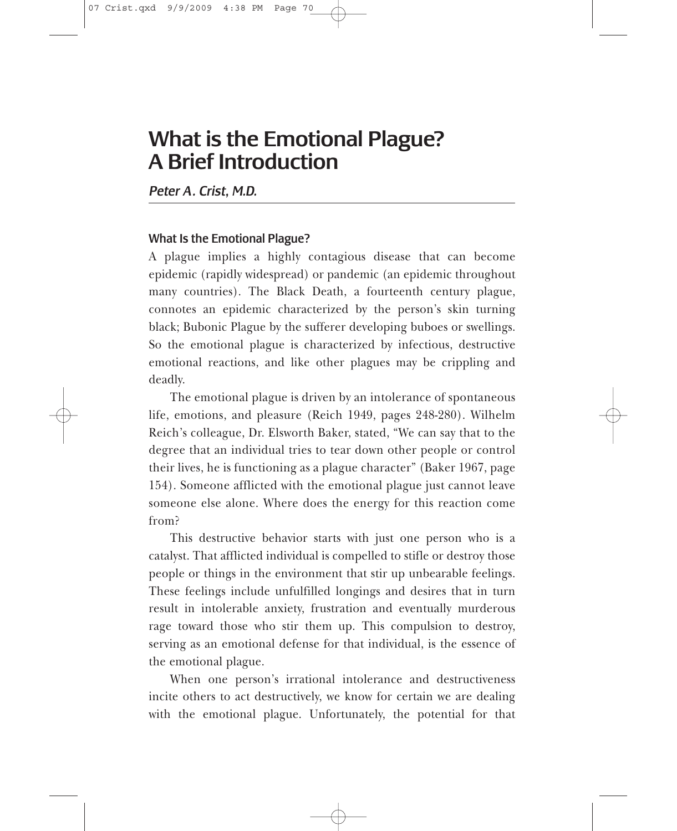## What is the Emotional Plague? A Brief Introduction

*Peter A . Crist, M.D.*

## What Is the Emotional Plague?

A plague implies a highly contagious disease that can become epidemic (rapidly widespread) or pandemic (an epidemic throughout many countries). The Black Death, a fourteenth century plague, connotes an epidemic characterized by the person's skin turning black; Bubonic Plague by the sufferer developing buboes or swellings. So the emotional plague is characterized by infectious, destructive emotional reactions, and like other plagues may be crippling and deadly.

The emotional plague is driven by an intolerance of spontaneous life, emotions, and pleasure (Reich 1949, pages 248-280). Wilhelm Reich's colleague, Dr. Elsworth Baker, stated, "We can say that to the degree that an individual tries to tear down other people or control their lives, he is functioning as a plague character" (Baker 1967, page 154). Someone afflicted with the emotional plague just cannot leave someone else alone. Where does the energy for this reaction come from?

This destructive behavior starts with just one person who is a catalyst. That afflicted individual is compelled to stifle or destroy those people or things in the environment that stir up unbearable feelings. These feelings include unfulfilled longings and desires that in turn result in intolerable anxiety, frustration and eventually murderous rage toward those who stir them up. This compulsion to destroy, serving as an emotional defense for that individual, is the essence of the emotional plague.

When one person's irrational intolerance and destructiveness incite others to act destructively, we know for certain we are dealing with the emotional plague. Unfortunately, the potential for that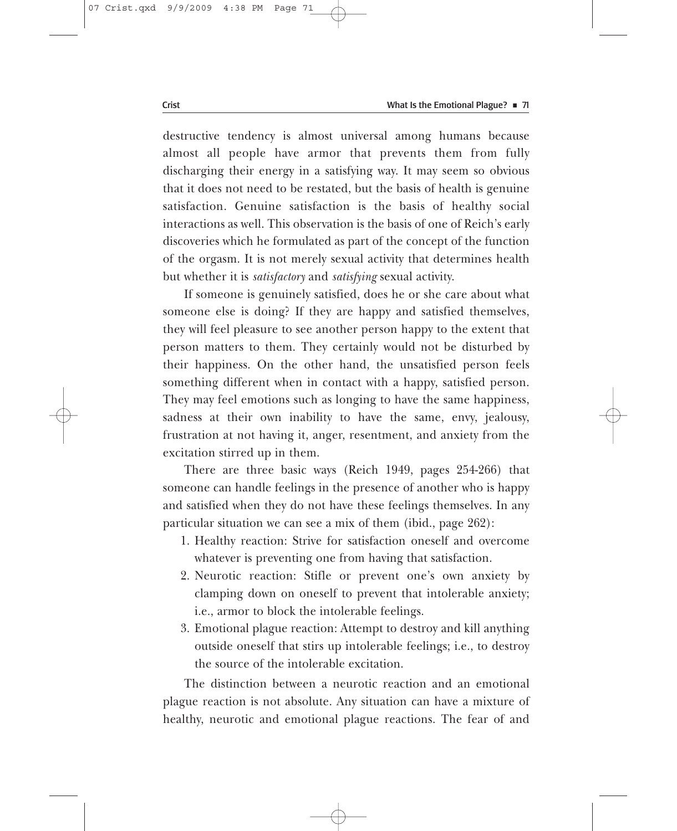destructive tendency is almost universal among humans because almost all people have armor that prevents them from fully discharging their energy in a satisfying way. It may seem so obvious that it does not need to be restated, but the basis of health is genuine satisfaction. Genuine satisfaction is the basis of healthy social interactions as well. This observation is the basis of one of Reich's early discoveries which he formulated as part of the concept of the function of the orgasm. It is not merely sexual activity that determines health but whether it is *satisfactory* and *satisfying* sexual activity.

If someone is genuinely satisfied, does he or she care about what someone else is doing? If they are happy and satisfied themselves, they will feel pleasure to see another person happy to the extent that person matters to them. They certainly would not be disturbed by their happiness. On the other hand, the unsatisfied person feels something different when in contact with a happy, satisfied person. They may feel emotions such as longing to have the same happiness, sadness at their own inability to have the same, envy, jealousy, frustration at not having it, anger, resentment, and anxiety from the excitation stirred up in them.

There are three basic ways (Reich 1949, pages 254-266) that someone can handle feelings in the presence of another who is happy and satisfied when they do not have these feelings themselves. In any particular situation we can see a mix of them (ibid., page 262):

- 1. Healthy reaction: Strive for satisfaction oneself and overcome whatever is preventing one from having that satisfaction.
- 2. Neurotic reaction: Stifle or prevent one's own anxiety by clamping down on oneself to prevent that intolerable anxiety; i.e., armor to block the intolerable feelings.
- 3. Emotional plague reaction: Attempt to destroy and kill anything outside oneself that stirs up intolerable feelings; i.e., to destroy the source of the intolerable excitation.

The distinction between a neurotic reaction and an emotional plague reaction is not absolute. Any situation can have a mixture of healthy, neurotic and emotional plague reactions. The fear of and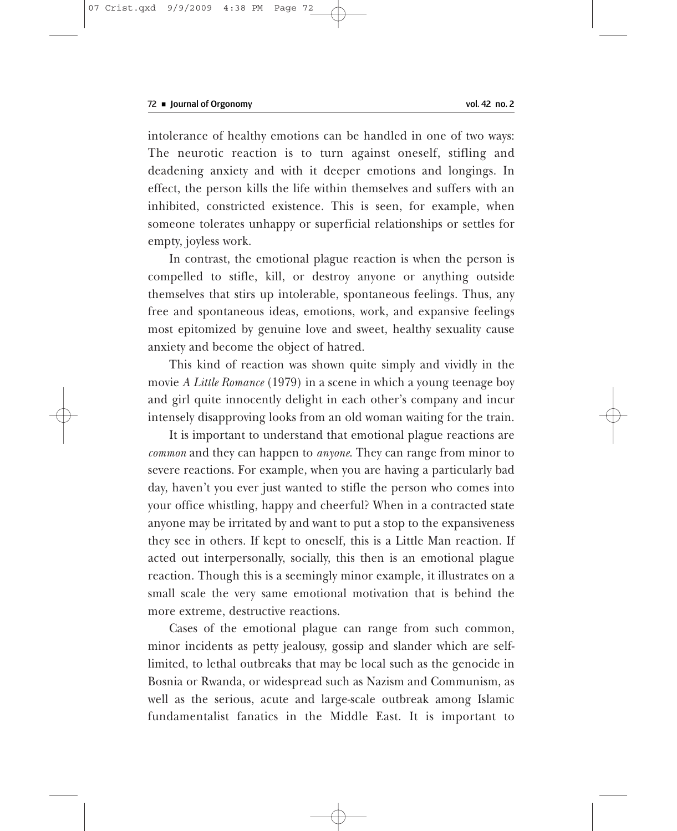intolerance of healthy emotions can be handled in one of two ways: The neurotic reaction is to turn against oneself, stifling and deadening anxiety and with it deeper emotions and longings. In effect, the person kills the life within themselves and suffers with an inhibited, constricted existence. This is seen, for example, when someone tolerates unhappy or superficial relationships or settles for empty, joyless work.

In contrast, the emotional plague reaction is when the person is compelled to stifle, kill, or destroy anyone or anything outside themselves that stirs up intolerable, spontaneous feelings. Thus, any free and spontaneous ideas, emotions, work, and expansive feelings most epitomized by genuine love and sweet, healthy sexuality cause anxiety and become the object of hatred.

This kind of reaction was shown quite simply and vividly in the movie *A Little Romance* (1979) in a scene in which a young teenage boy and girl quite innocently delight in each other's company and incur intensely disapproving looks from an old woman waiting for the train.

It is important to understand that emotional plague reactions are *common* and they can happen to *anyone*. They can range from minor to severe reactions. For example, when you are having a particularly bad day, haven't you ever just wanted to stifle the person who comes into your office whistling, happy and cheerful? When in a contracted state anyone may be irritated by and want to put a stop to the expansiveness they see in others. If kept to oneself, this is a Little Man reaction. If acted out interpersonally, socially, this then is an emotional plague reaction. Though this is a seemingly minor example, it illustrates on a small scale the very same emotional motivation that is behind the more extreme, destructive reactions.

Cases of the emotional plague can range from such common, minor incidents as petty jealousy, gossip and slander which are selflimited, to lethal outbreaks that may be local such as the genocide in Bosnia or Rwanda, or widespread such as Nazism and Communism, as well as the serious, acute and large-scale outbreak among Islamic fundamentalist fanatics in the Middle East. It is important to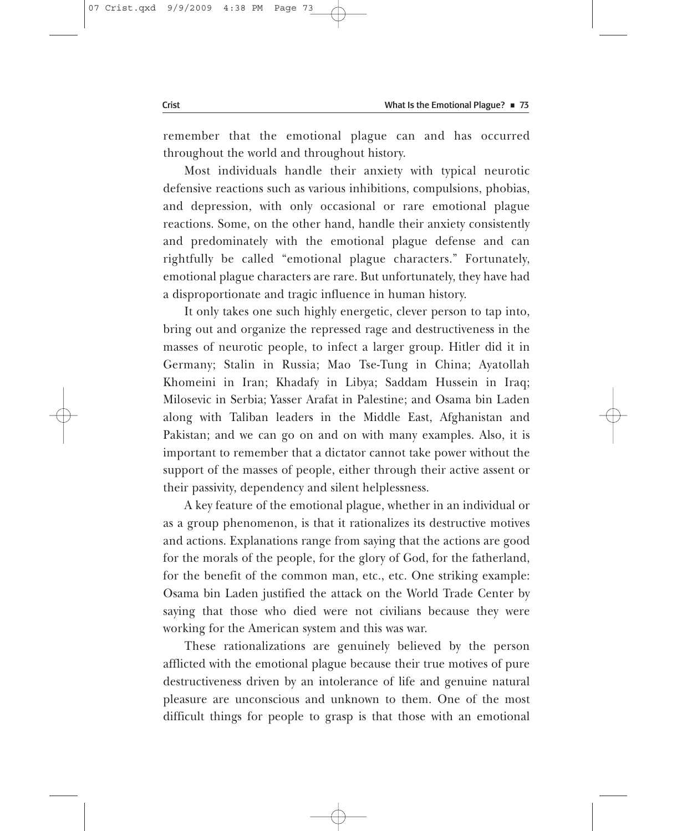remember that the emotional plague can and has occurred throughout the world and throughout history.

Most individuals handle their anxiety with typical neurotic defensive reactions such as various inhibitions, compulsions, phobias, and depression, with only occasional or rare emotional plague reactions. Some, on the other hand, handle their anxiety consistently and predominately with the emotional plague defense and can rightfully be called "emotional plague characters." Fortunately, emotional plague characters are rare. But unfortunately, they have had a disproportionate and tragic influence in human history.

It only takes one such highly energetic, clever person to tap into, bring out and organize the repressed rage and destructiveness in the masses of neurotic people, to infect a larger group. Hitler did it in Germany; Stalin in Russia; Mao Tse-Tung in China; Ayatollah Khomeini in Iran; Khadafy in Libya; Saddam Hussein in Iraq; Milosevic in Serbia; Yasser Arafat in Palestine; and Osama bin Laden along with Taliban leaders in the Middle East, Afghanistan and Pakistan; and we can go on and on with many examples. Also, it is important to remember that a dictator cannot take power without the support of the masses of people, either through their active assent or their passivity, dependency and silent helplessness.

A key feature of the emotional plague, whether in an individual or as a group phenomenon, is that it rationalizes its destructive motives and actions. Explanations range from saying that the actions are good for the morals of the people, for the glory of God, for the fatherland, for the benefit of the common man, etc., etc. One striking example: Osama bin Laden justified the attack on the World Trade Center by saying that those who died were not civilians because they were working for the American system and this was war.

These rationalizations are genuinely believed by the person afflicted with the emotional plague because their true motives of pure destructiveness driven by an intolerance of life and genuine natural pleasure are unconscious and unknown to them. One of the most difficult things for people to grasp is that those with an emotional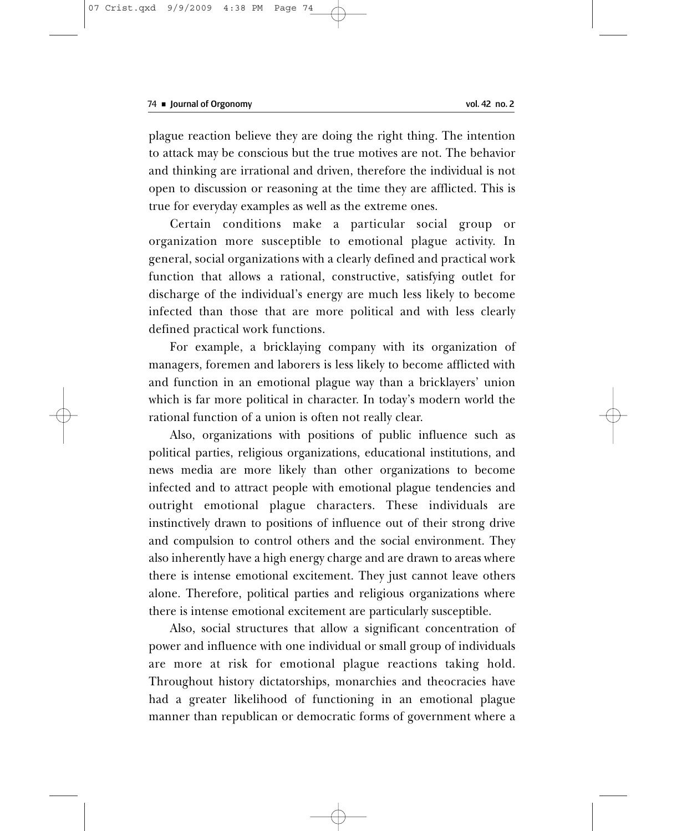plague reaction believe they are doing the right thing. The intention to attack may be conscious but the true motives are not. The behavior and thinking are irrational and driven, therefore the individual is not open to discussion or reasoning at the time they are afflicted. This is true for everyday examples as well as the extreme ones.

Certain conditions make a particular social group or organization more susceptible to emotional plague activity. In general, social organizations with a clearly defined and practical work function that allows a rational, constructive, satisfying outlet for discharge of the individual's energy are much less likely to become infected than those that are more political and with less clearly defined practical work functions.

For example, a bricklaying company with its organization of managers, foremen and laborers is less likely to become afflicted with and function in an emotional plague way than a bricklayers' union which is far more political in character. In today's modern world the rational function of a union is often not really clear.

Also, organizations with positions of public influence such as political parties, religious organizations, educational institutions, and news media are more likely than other organizations to become infected and to attract people with emotional plague tendencies and outright emotional plague characters. These individuals are instinctively drawn to positions of influence out of their strong drive and compulsion to control others and the social environment. They also inherently have a high energy charge and are drawn to areas where there is intense emotional excitement. They just cannot leave others alone. Therefore, political parties and religious organizations where there is intense emotional excitement are particularly susceptible.

Also, social structures that allow a significant concentration of power and influence with one individual or small group of individuals are more at risk for emotional plague reactions taking hold. Throughout history dictatorships, monarchies and theocracies have had a greater likelihood of functioning in an emotional plague manner than republican or democratic forms of government where a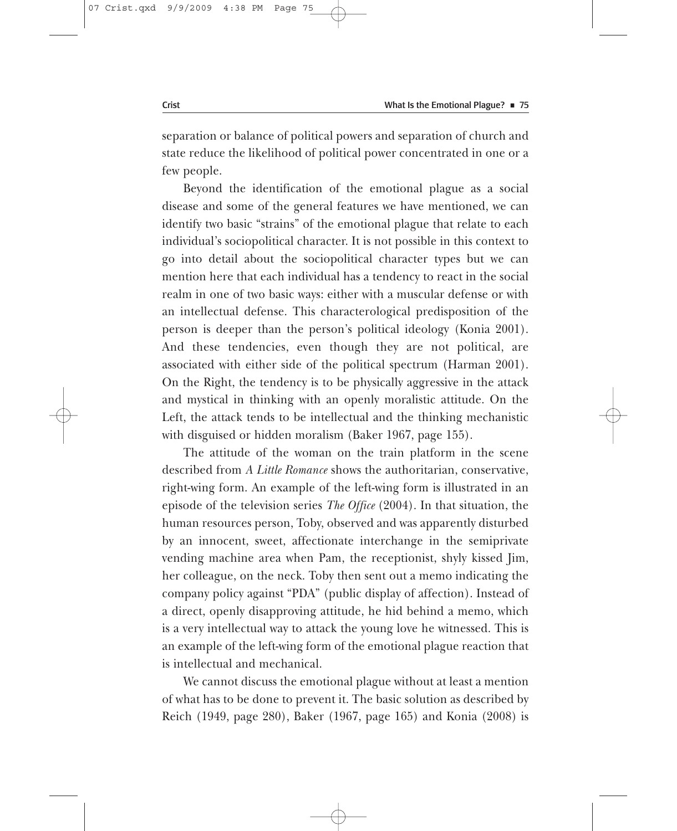separation or balance of political powers and separation of church and state reduce the likelihood of political power concentrated in one or a few people.

Beyond the identification of the emotional plague as a social disease and some of the general features we have mentioned, we can identify two basic "strains" of the emotional plague that relate to each individual's sociopolitical character. It is not possible in this context to go into detail about the sociopolitical character types but we can mention here that each individual has a tendency to react in the social realm in one of two basic ways: either with a muscular defense or with an intellectual defense. This characterological predisposition of the person is deeper than the person's political ideology (Konia 2001). And these tendencies, even though they are not political, are associated with either side of the political spectrum (Harman 2001). On the Right, the tendency is to be physically aggressive in the attack and mystical in thinking with an openly moralistic attitude. On the Left, the attack tends to be intellectual and the thinking mechanistic with disguised or hidden moralism (Baker 1967, page 155).

The attitude of the woman on the train platform in the scene described from *A Little Romance* shows the authoritarian, conservative, right-wing form. An example of the left-wing form is illustrated in an episode of the television series *The Office* (2004). In that situation, the human resources person, Toby, observed and was apparently disturbed by an innocent, sweet, affectionate interchange in the semiprivate vending machine area when Pam, the receptionist, shyly kissed Jim, her colleague, on the neck. Toby then sent out a memo indicating the company policy against "PDA" (public display of affection). Instead of a direct, openly disapproving attitude, he hid behind a memo, which is a very intellectual way to attack the young love he witnessed. This is an example of the left-wing form of the emotional plague reaction that is intellectual and mechanical.

We cannot discuss the emotional plague without at least a mention of what has to be done to prevent it. The basic solution as described by Reich (1949, page 280), Baker (1967, page 165) and Konia (2008) is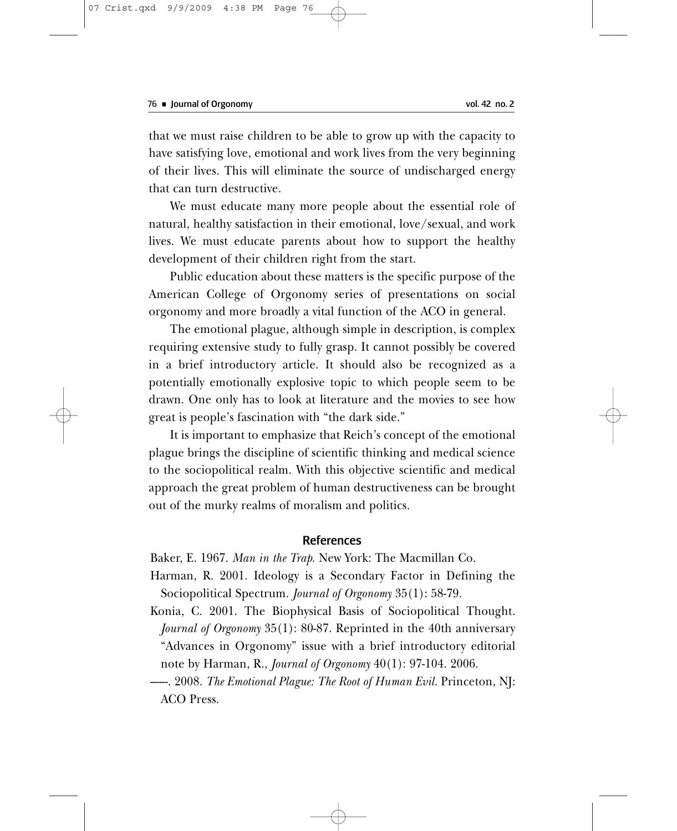that we must raise children to be able to grow up with the capacity to have satisfying love, emotional and work lives from the very beginning of their lives. This will eliminate the source of undischarged energy that can turn destructive.

We must educate many more people about the essential role of natural, healthy satisfaction in their emotional, love/sexual, and work lives. We must educate parents about how to support the healthy development of their children right from the start.

Public education about these matters is the specific purpose of the American College of Orgonomy series of presentations on social orgonomy and more broadly a vital function of the ACO in general.

The emotional plague, although simple in description, is complex requiring extensive study to fully grasp. It cannot possibly be covered in a brief introductory article. It should also be recognized as a potentially emotionally explosive topic to which people seem to be drawn. One only has to look at literature and the movies to see how great is people's fascination with "the dark side."

It is important to emphasize that Reich's concept of the emotional plague brings the discipline of scientific thinking and medical science to the sociopolitical realm. With this objective scientific and medical approach the great problem of human destructiveness can be brought out of the murky realms of moralism and politics.

## References

Baker, E. 1967. *Man in the Trap*. New York: The Macmillan Co.

- Harman, R. 2001. Ideology is a Secondary Factor in Defining the Sociopolitical Spectrum. *Journal of Orgonomy* 35(1): 58-79.
- Konia, C. 2001. The Biophysical Basis of Sociopolitical Thought. *Journal of Orgonomy* 35(1): 80-87. Reprinted in the 40th anniversary "Advances in Orgonomy" issue with a brief introductory editorial note by Harman, R., *Journal of Orgonomy* 40(1): 97-104. 2006.
- ------. 2008. *The Emotional Plague: The Root of Human Evil.* Princeton, NJ: ACO Press.